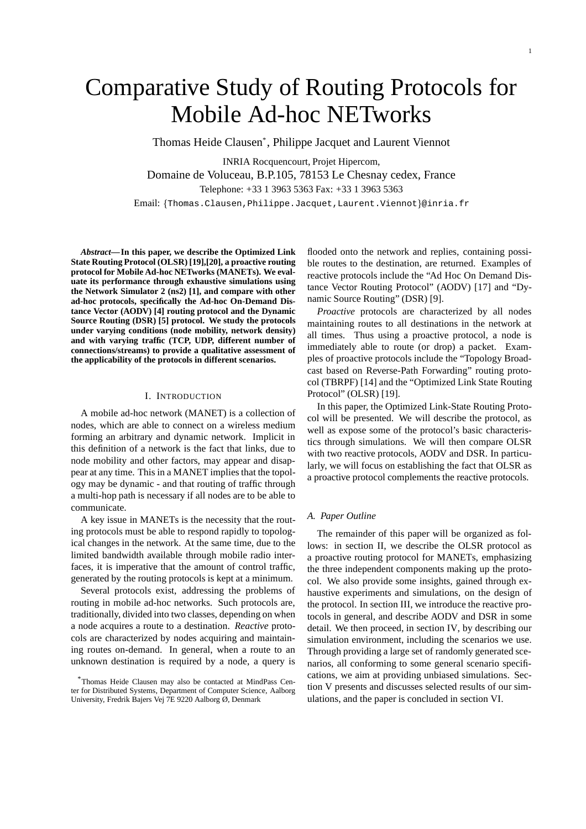# Comparative Study of Routing Protocols for Mobile Ad-hoc NETworks

Thomas Heide Clausen\* , Philippe Jacquet and Laurent Viennot

INRIA Rocquencourt, Projet Hipercom, Domaine de Voluceau, B.P.105, 78153 Le Chesnay cedex, France Telephone: +33 1 3963 5363 Fax: +33 1 3963 5363 Email: {Thomas.Clausen, Philippe.Jacquet, Laurent.Viennot}@inria.fr

*Abstract***—In this paper, we describe the Optimized Link State Routing Protocol (OLSR) [19],[20], a proactive routing protocol for Mobile Ad-hoc NETworks (MANETs). We evaluate its performance through exhaustive simulations using the Network Simulator 2 (ns2) [1], and compare with other ad-hoc protocols, specifically the Ad-hoc On-Demand Distance Vector (AODV) [4] routing protocol and the Dynamic Source Routing (DSR) [5] protocol. We study the protocols under varying conditions (node mobility, network density) and with varying traffic (TCP, UDP, different number of connections/streams) to provide a qualitative assessment of the applicability of the protocols in different scenarios.**

# I. INTRODUCTION

A mobile ad-hoc network (MANET) is a collection of nodes, which are able to connect on a wireless medium forming an arbitrary and dynamic network. Implicit in this definition of a network is the fact that links, due to node mobility and other factors, may appear and disappear at any time. This in a MANET implies that the topology may be dynamic - and that routing of traffic through a multi-hop path is necessary if all nodes are to be able to communicate.

A key issue in MANETs is the necessity that the routing protocols must be able to respond rapidly to topological changes in the network. At the same time, due to the limited bandwidth available through mobile radio interfaces, it is imperative that the amount of control traffic, generated by the routing protocols is kept at a minimum.

Several protocols exist, addressing the problems of routing in mobile ad-hoc networks. Such protocols are, traditionally, divided into two classes, depending on when a node acquires a route to a destination. *Reactive* protocols are characterized by nodes acquiring and maintaining routes on-demand. In general, when a route to an unknown destination is required by a node, a query is flooded onto the network and replies, containing possible routes to the destination, are returned. Examples of reactive protocols include the "Ad Hoc On Demand Distance Vector Routing Protocol" (AODV) [17] and "Dynamic Source Routing" (DSR) [9].

*Proactive* protocols are characterized by all nodes maintaining routes to all destinations in the network at all times. Thus using a proactive protocol, a node is immediately able to route (or drop) a packet. Examples of proactive protocols include the "Topology Broadcast based on Reverse-Path Forwarding" routing protocol (TBRPF) [14] and the "Optimized Link State Routing Protocol" (OLSR) [19].

In this paper, the Optimized Link-State Routing Protocol will be presented. We will describe the protocol, as well as expose some of the protocol's basic characteristics through simulations. We will then compare OLSR with two reactive protocols, AODV and DSR. In particularly, we will focus on establishing the fact that OLSR as a proactive protocol complements the reactive protocols.

## *A. Paper Outline*

The remainder of this paper will be organized as follows: in section II, we describe the OLSR protocol as a proactive routing protocol for MANETs, emphasizing the three independent components making up the protocol. We also provide some insights, gained through exhaustive experiments and simulations, on the design of the protocol. In section III, we introduce the reactive protocols in general, and describe AODV and DSR in some detail. We then proceed, in section IV, by describing our simulation environment, including the scenarios we use. Through providing a large set of randomly generated scenarios, all conforming to some general scenario specifications, we aim at providing unbiased simulations. Section V presents and discusses selected results of our simulations, and the paper is concluded in section VI.

<sup>\*</sup>Thomas Heide Clausen may also be contacted at MindPass Center for Distributed Systems, Department of Computer Science, Aalborg University, Fredrik Bajers Vej 7E 9220 Aalborg Ø, Denmark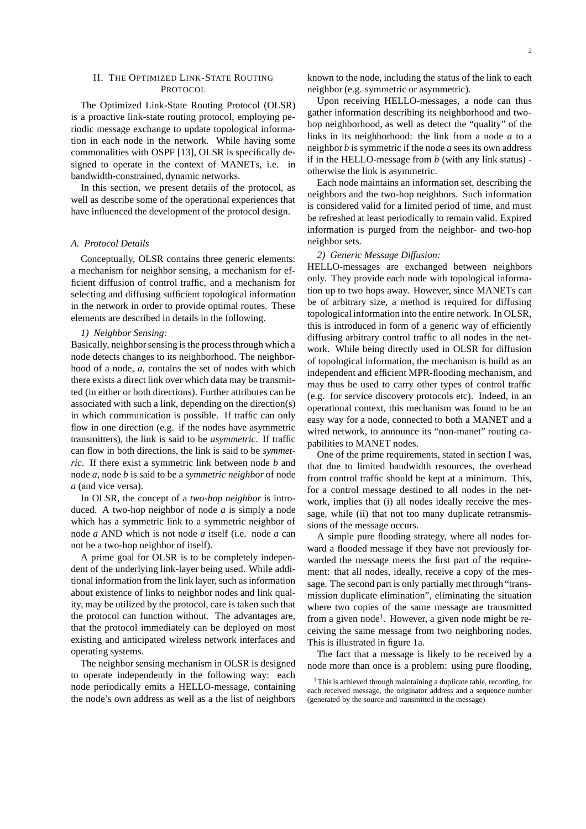## II. THE OPTIMIZED LINK-STATE ROUTING PROTOCOL

The Optimized Link-State Routing Protocol (OLSR) is a proactive link-state routing protocol, employing periodic message exchange to update topological information in each node in the network. While having some commonalities with OSPF [13], OLSR is specifically designed to operate in the context of MANETs, i.e. in bandwidth-constrained, dynamic networks.

In this section, we present details of the protocol, as well as describe some of the operational experiences that have influenced the development of the protocol design.

## *A. Protocol Details*

Conceptually, OLSR contains three generic elements: a mechanism for neighbor sensing, a mechanism for efficient diffusion of control traffic, and a mechanism for selecting and diffusing sufficient topological information in the network in order to provide optimal routes. These elements are described in details in the following.

#### *1) Neighbor Sensing:*

Basically, neighbor sensing is the process through which a node detects changes to its neighborhood. The neighborhood of a node, *a*, contains the set of nodes with which there exists a direct link over which data may be transmitted (in either or both directions). Further attributes can be associated with such a link, depending on the direction(s) in which communication is possible. If traffic can only flow in one direction (e.g. if the nodes have asymmetric transmitters), the link is said to be *asymmetric*. If traffic can flow in both directions, the link is said to be *symmetric*. If there exist a symmetric link between node *b* and node *a*, node *b* is said to be a *symmetric neighbor* of node *a* (and vice versa).

In OLSR, the concept of a *two-hop neighbor* is introduced. A two-hop neighbor of node *a* is simply a node which has a symmetric link to a symmetric neighbor of node *a* AND which is not node *a* itself (i.e. node *a* can not be a two-hop neighbor of itself).

A prime goal for OLSR is to be completely independent of the underlying link-layer being used. While additional information from the link layer, such as information about existence of links to neighbor nodes and link quality, may be utilized by the protocol, care is taken such that the protocol can function without. The advantages are, that the protocol immediately can be deployed on most existing and anticipated wireless network interfaces and operating systems.

The neighbor sensing mechanism in OLSR is designed to operate independently in the following way: each node periodically emits a HELLO-message, containing the node's own address as well as a the list of neighbors known to the node, including the status of the link to each neighbor (e.g. symmetric or asymmetric).

Upon receiving HELLO-messages, a node can thus gather information describing its neighborhood and twohop neighborhood, as well as detect the "quality" of the links in its neighborhood: the link from a node *a* to a neighbor *b* is symmetric if the node *a* sees its own address if in the HELLO-message from *b* (with any link status) otherwise the link is asymmetric.

Each node maintains an information set, describing the neighbors and the two-hop neighbors. Such information is considered valid for a limited period of time, and must be refreshed at least periodically to remain valid. Expired information is purged from the neighbor- and two-hop neighbor sets.

## *2) Generic Message Diffusion:*

HELLO-messages are exchanged between neighbors only. They provide each node with topological information up to two hops away. However, since MANETs can be of arbitrary size, a method is required for diffusing topological information into the entire network. In OLSR, this is introduced in form of a generic way of efficiently diffusing arbitrary control traffic to all nodes in the network. While being directly used in OLSR for diffusion of topological information, the mechanism is build as an independent and efficient MPR-flooding mechanism, and may thus be used to carry other types of control traffic (e.g. for service discovery protocols etc). Indeed, in an operational context, this mechanism was found to be an easy way for a node, connected to both a MANET and a wired network, to announce its "non-manet" routing capabilities to MANET nodes.

One of the prime requirements, stated in section I was, that due to limited bandwidth resources, the overhead from control traffic should be kept at a minimum. This, for a control message destined to all nodes in the network, implies that (i) all nodes ideally receive the message, while (ii) that not too many duplicate retransmissions of the message occurs.

A simple pure flooding strategy, where all nodes forward a flooded message if they have not previously forwarded the message meets the first part of the requirement: that all nodes, ideally, receive a copy of the message. The second part is only partially met through "transmission duplicate elimination", eliminating the situation where two copies of the same message are transmitted from a given node<sup>1</sup>. However, a given node might be receiving the same message from two neighboring nodes. This is illustrated in figure 1a.

The fact that a message is likely to be received by a node more than once is a problem: using pure flooding,

<sup>&</sup>lt;sup>1</sup> This is achieved through maintaining a duplicate table, recording, for each received message, the originator address and a sequence number (generated by the source and transmitted in the message)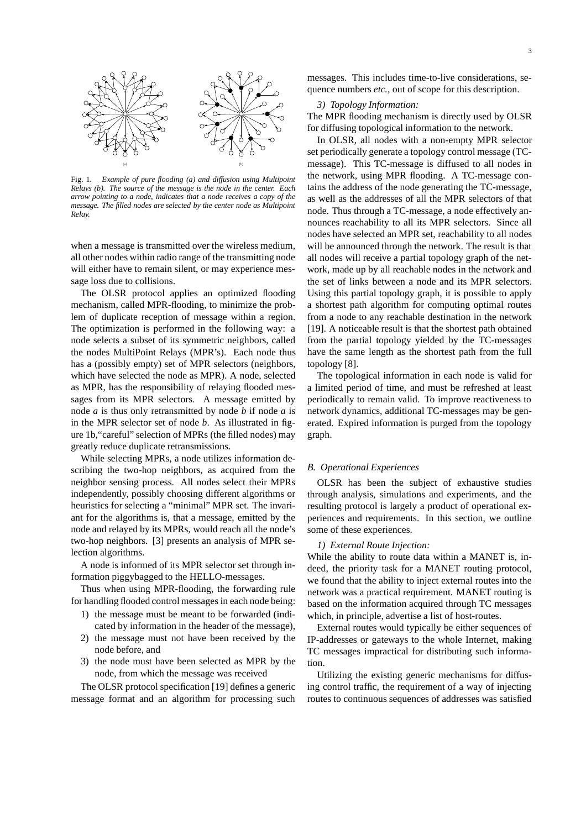

Fig. 1. *Example of pure flooding (a) and diffusion using Multipoint Relays (b). The source of the message is the node in the center. Each arrow pointing to a node, indicates that a node receives a copy of the message. The filled nodes are selected by the center node as Multipoint Relay.*

when a message is transmitted over the wireless medium, all other nodes within radio range of the transmitting node will either have to remain silent, or may experience message loss due to collisions.

The OLSR protocol applies an optimized flooding mechanism, called MPR-flooding, to minimize the problem of duplicate reception of message within a region. The optimization is performed in the following way: a node selects a subset of its symmetric neighbors, called the nodes MultiPoint Relays (MPR's). Each node thus has a (possibly empty) set of MPR selectors (neighbors, which have selected the node as MPR). A node, selected as MPR, has the responsibility of relaying flooded messages from its MPR selectors. A message emitted by node *a* is thus only retransmitted by node *b* if node *a* is in the MPR selector set of node *b*. As illustrated in figure 1b,"careful" selection of MPRs (the filled nodes) may greatly reduce duplicate retransmissions.

While selecting MPRs, a node utilizes information describing the two-hop neighbors, as acquired from the neighbor sensing process. All nodes select their MPRs independently, possibly choosing different algorithms or heuristics for selecting a "minimal" MPR set. The invariant for the algorithms is, that a message, emitted by the node and relayed by its MPRs, would reach all the node's two-hop neighbors. [3] presents an analysis of MPR selection algorithms.

A node is informed of its MPR selector set through information piggybagged to the HELLO-messages.

Thus when using MPR-flooding, the forwarding rule for handling flooded control messages in each node being:

- 1) the message must be meant to be forwarded (indicated by information in the header of the message),
- 2) the message must not have been received by the node before, and
- 3) the node must have been selected as MPR by the node, from which the message was received

The OLSR protocol specification [19] defines a generic message format and an algorithm for processing such

messages. This includes time-to-live considerations, sequence numbers *etc.*, out of scope for this description.

## *3) Topology Information:*

The MPR flooding mechanism is directly used by OLSR for diffusing topological information to the network.

In OLSR, all nodes with a non-empty MPR selector set periodically generate a topology control message (TCmessage). This TC-message is diffused to all nodes in the network, using MPR flooding. A TC-message contains the address of the node generating the TC-message, as well as the addresses of all the MPR selectors of that node. Thus through a TC-message, a node effectively announces reachability to all its MPR selectors. Since all nodes have selected an MPR set, reachability to all nodes will be announced through the network. The result is that all nodes will receive a partial topology graph of the network, made up by all reachable nodes in the network and the set of links between a node and its MPR selectors. Using this partial topology graph, it is possible to apply a shortest path algorithm for computing optimal routes from a node to any reachable destination in the network [19]. A noticeable result is that the shortest path obtained from the partial topology yielded by the TC-messages have the same length as the shortest path from the full topology [8].

The topological information in each node is valid for a limited period of time, and must be refreshed at least periodically to remain valid. To improve reactiveness to network dynamics, additional TC-messages may be generated. Expired information is purged from the topology graph.

## *B. Operational Experiences*

OLSR has been the subject of exhaustive studies through analysis, simulations and experiments, and the resulting protocol is largely a product of operational experiences and requirements. In this section, we outline some of these experiences.

#### *1) External Route Injection:*

While the ability to route data within a MANET is, indeed, the priority task for a MANET routing protocol, we found that the ability to inject external routes into the network was a practical requirement. MANET routing is based on the information acquired through TC messages which, in principle, advertise a list of host-routes.

External routes would typically be either sequences of IP-addresses or gateways to the whole Internet, making TC messages impractical for distributing such information.

Utilizing the existing generic mechanisms for diffusing control traffic, the requirement of a way of injecting routes to continuous sequences of addresses was satisfied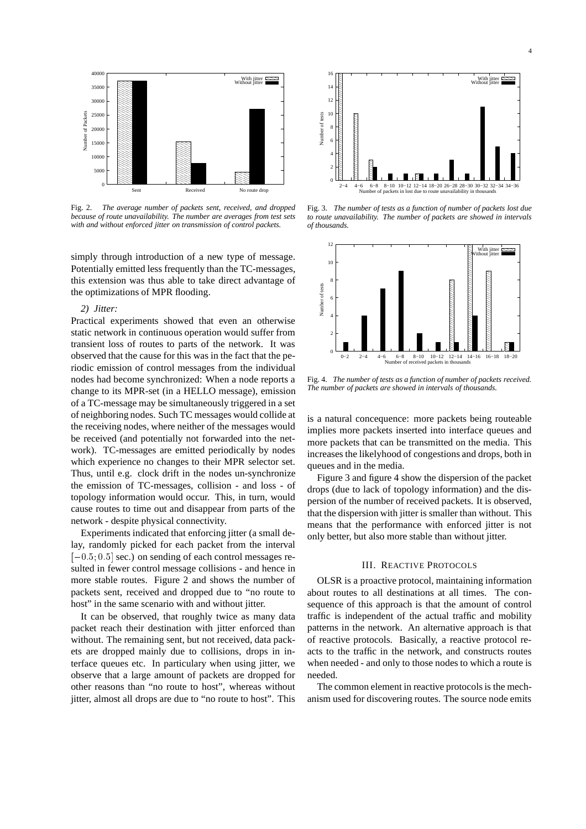

Fig. 2. *The average number of packets sent, received, and dropped because of route unavailability. The number are averages from test sets with and without enforced jitter on transmission of control packets.*

simply through introduction of a new type of message. Potentially emitted less frequently than the TC-messages, this extension was thus able to take direct advantage of the optimizations of MPR flooding.

#### *2) Jitter:*

Practical experiments showed that even an otherwise static network in continuous operation would suffer from transient loss of routes to parts of the network. It was observed that the cause for this was in the fact that the periodic emission of control messages from the individual nodes had become synchronized: When a node reports a change to its MPR-set (in a HELLO message), emission of a TC-message may be simultaneously triggered in a set of neighboring nodes. Such TC messages would collide at the receiving nodes, where neither of the messages would be received (and potentially not forwarded into the network). TC-messages are emitted periodically by nodes which experience no changes to their MPR selector set. Thus, until e.g. clock drift in the nodes un-synchronize the emission of TC-messages, collision - and loss - of topology information would occur. This, in turn, would cause routes to time out and disappear from parts of the network - despite physical connectivity.

Experiments indicated that enforcing jitter (a small delay, randomly picked for each packet from the interval  $[-0.5; 0.5]$  sec.) on sending of each control messages resulted in fewer control message collisions - and hence in more stable routes. Figure 2 and shows the number of packets sent, received and dropped due to "no route to host" in the same scenario with and without jitter.

It can be observed, that roughly twice as many data packet reach their destination with jitter enforced than without. The remaining sent, but not received, data packets are dropped mainly due to collisions, drops in interface queues etc. In particulary when using jitter, we observe that a large amount of packets are dropped for other reasons than "no route to host", whereas without jitter, almost all drops are due to "no route to host". This



Fig. 3. *The number of tests as a function of number of packets lost due to route unavailability. The number of packets are showed in intervals of thousands.*



Fig. 4. *The number of tests as a function of number of packets received. The number of packets are showed in intervals of thousands.*

is a natural concequence: more packets being routeable implies more packets inserted into interface queues and more packets that can be transmitted on the media. This increases the likelyhood of congestions and drops, both in queues and in the media.

Figure 3 and figure 4 show the dispersion of the packet drops (due to lack of topology information) and the dispersion of the number of received packets. It is observed, that the dispersion with jitter is smaller than without. This means that the performance with enforced jitter is not only better, but also more stable than without jitter.

## III. REACTIVE PROTOCOLS

OLSR is a proactive protocol, maintaining information about routes to all destinations at all times. The consequence of this approach is that the amount of control traffic is independent of the actual traffic and mobility patterns in the network. An alternative approach is that of reactive protocols. Basically, a reactive protocol reacts to the traffic in the network, and constructs routes when needed - and only to those nodes to which a route is needed.

The common element in reactive protocols is the mechanism used for discovering routes. The source node emits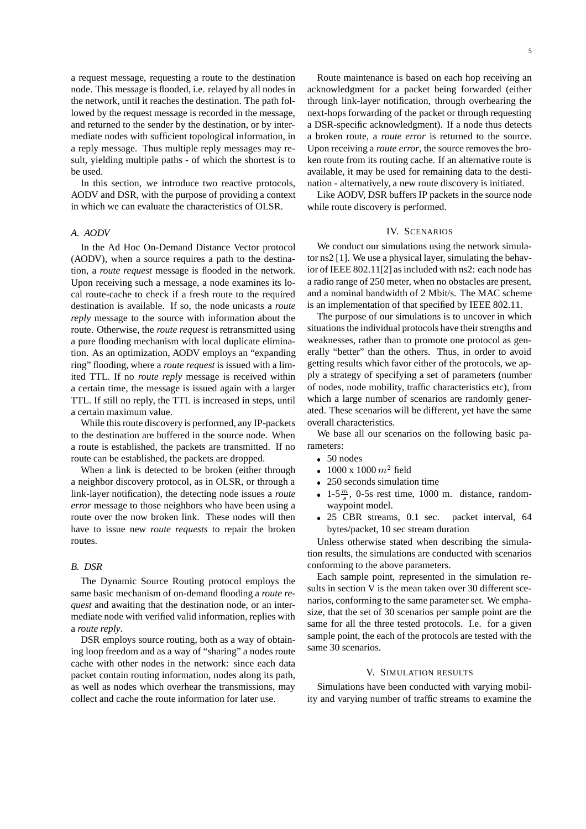a request message, requesting a route to the destination node. This message is flooded, i.e. relayed by all nodes in the network, until it reaches the destination. The path followed by the request message is recorded in the message, and returned to the sender by the destination, or by intermediate nodes with sufficient topological information, in a reply message. Thus multiple reply messages may result, yielding multiple paths - of which the shortest is to be used.

In this section, we introduce two reactive protocols, AODV and DSR, with the purpose of providing a context in which we can evaluate the characteristics of OLSR.

## *A. AODV*

In the Ad Hoc On-Demand Distance Vector protocol (AODV), when a source requires a path to the destination, a *route request* message is flooded in the network. Upon receiving such a message, a node examines its local route-cache to check if a fresh route to the required destination is available. If so, the node unicasts a *route reply* message to the source with information about the route. Otherwise, the *route request* is retransmitted using a pure flooding mechanism with local duplicate elimination. As an optimization, AODV employs an "expanding ring" flooding, where a *route request* is issued with a limited TTL. If no *route reply* message is received within a certain time, the message is issued again with a larger TTL. If still no reply, the TTL is increased in steps, until a certain maximum value.

While this route discovery is performed, any IP-packets to the destination are buffered in the source node. When a route is established, the packets are transmitted. If no route can be established, the packets are dropped.

When a link is detected to be broken (either through a neighbor discovery protocol, as in OLSR, or through a link-layer notification), the detecting node issues a *route error* message to those neighbors who have been using a route over the now broken link. These nodes will then have to issue new *route requests* to repair the broken routes.

# *B. DSR*

The Dynamic Source Routing protocol employs the same basic mechanism of on-demand flooding a *route request* and awaiting that the destination node, or an intermediate node with verified valid information, replies with a *route reply*.

DSR employs source routing, both as a way of obtaining loop freedom and as a way of "sharing" a nodes route cache with other nodes in the network: since each data packet contain routing information, nodes along its path, as well as nodes which overhear the transmissions, may collect and cache the route information for later use.

Route maintenance is based on each hop receiving an acknowledgment for a packet being forwarded (either through link-layer notification, through overhearing the next-hops forwarding of the packet or through requesting a DSR-specific acknowledgment). If a node thus detects a broken route, a *route error* is returned to the source. Upon receiving a *route error*, the source removes the broken route from its routing cache. If an alternative route is available, it may be used for remaining data to the destination - alternatively, a new route discovery is initiated.

Like AODV, DSR buffers IP packets in the source node while route discovery is performed.

### IV. SCENARIOS

We conduct our simulations using the network simulator ns2 [1]. We use a physical layer, simulating the behavior of IEEE 802.11[2] as included with ns2: each node has a radio range of 250 meter, when no obstacles are present, and a nominal bandwidth of 2 Mbit/s. The MAC scheme is an implementation of that specified by IEEE 802.11.

The purpose of our simulations is to uncover in which situations the individual protocols have their strengths and weaknesses, rather than to promote one protocol as generally "better" than the others. Thus, in order to avoid getting results which favor either of the protocols, we apply a strategy of specifying a set of parameters (number of nodes, node mobility, traffic characteristics etc), from which a large number of scenarios are randomly generated. These scenarios will be different, yet have the same overall characteristics.

We base all our scenarios on the following basic parameters:

- 50 nodes
- 1000 x 1000  $m^2$  field
- 250 seconds simulation time
- 1-5 $\frac{m}{s}$ , 0-5s rest time, 1000 m. distance, randomwaypoint model.
- 25 CBR streams, 0.1 sec. packet interval, 64 bytes/packet, 10 sec stream duration

Unless otherwise stated when describing the simulation results, the simulations are conducted with scenarios conforming to the above parameters.

Each sample point, represented in the simulation results in section V is the mean taken over 30 different scenarios, conforming to the same parameter set. We emphasize, that the set of 30 scenarios per sample point are the same for all the three tested protocols. I.e. for a given sample point, the each of the protocols are tested with the same 30 scenarios.

# V. SIMULATION RESULTS

Simulations have been conducted with varying mobility and varying number of traffic streams to examine the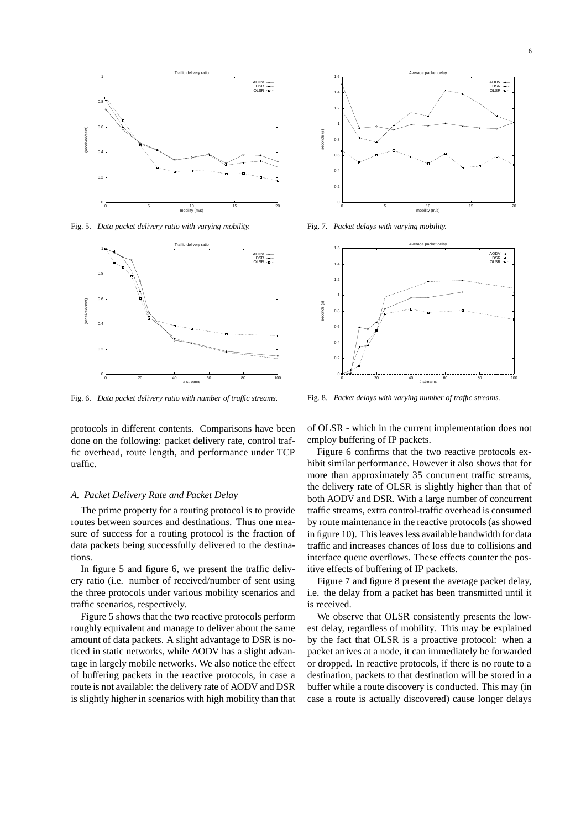

Fig. 5. *Data packet delivery ratio with varying mobility.*



Fig. 6. *Data packet delivery ratio with number of traffic streams.*

protocols in different contents. Comparisons have been done on the following: packet delivery rate, control traffic overhead, route length, and performance under TCP traffic.

#### *A. Packet Delivery Rate and Packet Delay*

The prime property for a routing protocol is to provide routes between sources and destinations. Thus one measure of success for a routing protocol is the fraction of data packets being successfully delivered to the destinations.

In figure 5 and figure 6, we present the traffic delivery ratio (i.e. number of received/number of sent using the three protocols under various mobility scenarios and traffic scenarios, respectively.

Figure 5 shows that the two reactive protocols perform roughly equivalent and manage to deliver about the same amount of data packets. A slight advantage to DSR is noticed in static networks, while AODV has a slight advantage in largely mobile networks. We also notice the effect of buffering packets in the reactive protocols, in case a route is not available: the delivery rate of AODV and DSR is slightly higher in scenarios with high mobility than that



Fig. 7. *Packet delays with varying mobility.*



Fig. 8. *Packet delays with varying number of traffic streams.*

of OLSR - which in the current implementation does not employ buffering of IP packets.

Figure 6 confirms that the two reactive protocols exhibit similar performance. However it also shows that for more than approximately 35 concurrent traffic streams, the delivery rate of OLSR is slightly higher than that of both AODV and DSR. With a large number of concurrent traffic streams, extra control-traffic overhead is consumed by route maintenance in the reactive protocols (as showed in figure 10). This leaves less available bandwidth for data traffic and increases chances of loss due to collisions and interface queue overflows. These effects counter the positive effects of buffering of IP packets.

Figure 7 and figure 8 present the average packet delay, i.e. the delay from a packet has been transmitted until it is received.

We observe that OLSR consistently presents the lowest delay, regardless of mobility. This may be explained by the fact that OLSR is a proactive protocol: when a packet arrives at a node, it can immediately be forwarded or dropped. In reactive protocols, if there is no route to a destination, packets to that destination will be stored in a buffer while a route discovery is conducted. This may (in case a route is actually discovered) cause longer delays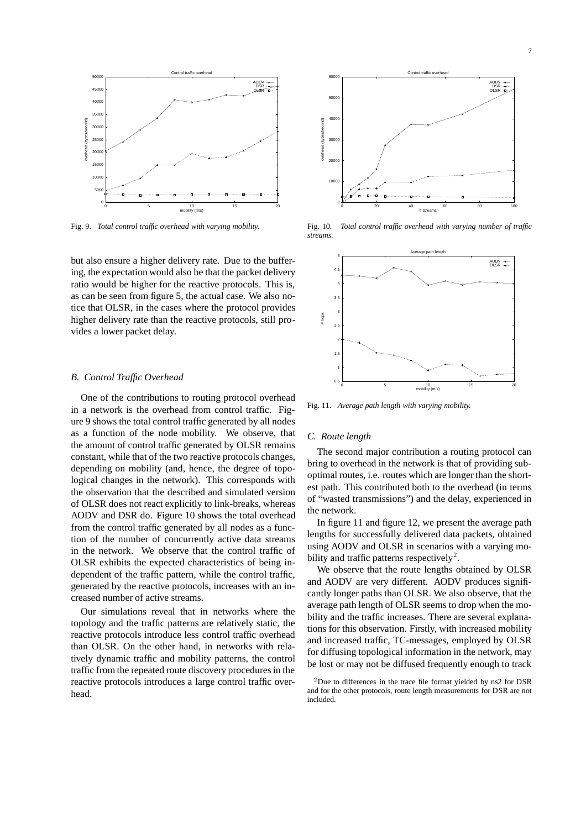

Fig. 9. *Total control traffic overhead with varying mobility.*

but also ensure a higher delivery rate. Due to the buffering, the expectation would also be that the packet delivery ratio would be higher for the reactive protocols. This is, as can be seen from figure 5, the actual case. We also notice that OLSR, in the cases where the protocol provides higher delivery rate than the reactive protocols, still provides a lower packet delay.

#### *B. Control Traffic Overhead*

One of the contributions to routing protocol overhead in a network is the overhead from control traffic. Figure 9 shows the total control traffic generated by all nodes as a function of the node mobility. We observe, that the amount of control traffic generated by OLSR remains constant, while that of the two reactive protocols changes, depending on mobility (and, hence, the degree of topological changes in the network). This corresponds with the observation that the described and simulated version of OLSR does not react explicitly to link-breaks, whereas AODV and DSR do. Figure 10 shows the total overhead from the control traffic generated by all nodes as a function of the number of concurrently active data streams in the network. We observe that the control traffic of OLSR exhibits the expected characteristics of being independent of the traffic pattern, while the control traffic, generated by the reactive protocols, increases with an increased number of active streams.

Our simulations reveal that in networks where the topology and the traffic patterns are relatively static, the reactive protocols introduce less control traffic overhead than OLSR. On the other hand, in networks with relatively dynamic traffic and mobility patterns, the control traffic from the repeated route discovery procedures in the reactive protocols introduces a large control traffic overhead.



Fig. 10. *Total control traffic overhead with varying number of traffic streams.*



Fig. 11. *Average path length with varying mobility.*

## *C. Route length*

The second major contribution a routing protocol can bring to overhead in the network is that of providing suboptimal routes, i.e. routes which are longer than the shortest path. This contributed both to the overhead (in terms of "wasted transmissions") and the delay, experienced in the network.

In figure 11 and figure 12, we present the average path lengths for successfully delivered data packets, obtained using AODV and OLSR in scenarios with a varying mobility and traffic patterns respectively<sup>2</sup>.

We observe that the route lengths obtained by OLSR and AODV are very different. AODV produces significantly longer paths than OLSR. We also observe, that the average path length of OLSR seems to drop when the mobility and the traffic increases. There are several explanations for this observation. Firstly, with increased mobility and increased traffic, TC-messages, employed by OLSR for diffusing topological information in the network, may be lost or may not be diffused frequently enough to track

<sup>&</sup>lt;sup>2</sup>Due to differences in the trace file format yielded by ns2 for DSR and for the other protocols, route length measurements for DSR are not included.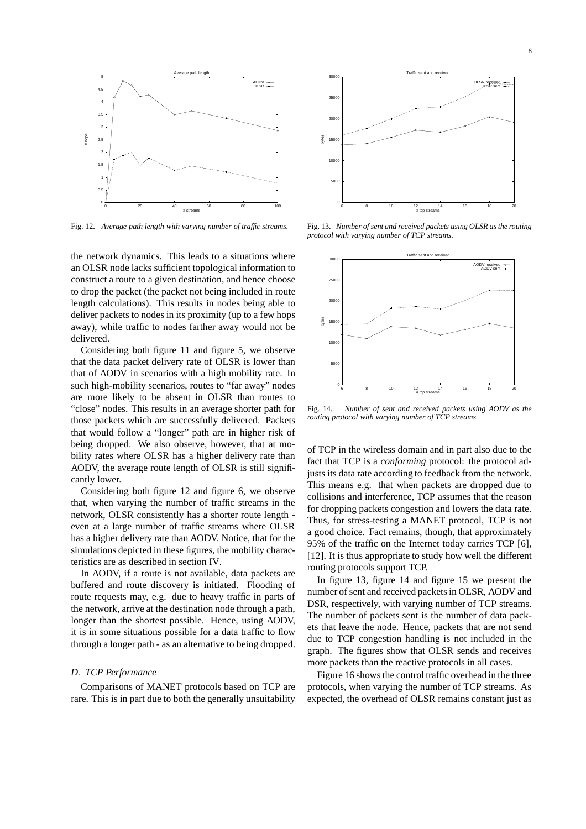

Fig. 12. *Average path length with varying number of traffic streams.*

the network dynamics. This leads to a situations where an OLSR node lacks sufficient topological information to construct a route to a given destination, and hence choose to drop the packet (the packet not being included in route length calculations). This results in nodes being able to deliver packets to nodes in its proximity (up to a few hops away), while traffic to nodes farther away would not be delivered.

Considering both figure 11 and figure 5, we observe that the data packet delivery rate of OLSR is lower than that of AODV in scenarios with a high mobility rate. In such high-mobility scenarios, routes to "far away" nodes are more likely to be absent in OLSR than routes to "close" nodes. This results in an average shorter path for those packets which are successfully delivered. Packets that would follow a "longer" path are in higher risk of being dropped. We also observe, however, that at mobility rates where OLSR has a higher delivery rate than AODV, the average route length of OLSR is still significantly lower.

Considering both figure 12 and figure 6, we observe that, when varying the number of traffic streams in the network, OLSR consistently has a shorter route length even at a large number of traffic streams where OLSR has a higher delivery rate than AODV. Notice, that for the simulations depicted in these figures, the mobility characteristics are as described in section IV.

In AODV, if a route is not available, data packets are buffered and route discovery is initiated. Flooding of route requests may, e.g. due to heavy traffic in parts of the network, arrive at the destination node through a path, longer than the shortest possible. Hence, using AODV, it is in some situations possible for a data traffic to flow through a longer path - as an alternative to being dropped.

# *D. TCP Performance*

Comparisons of MANET protocols based on TCP are rare. This is in part due to both the generally unsuitability



Fig. 13. *Number of sent and received packets using OLSR as the routing protocol with varying number of TCP streams.*



Fig. 14. *Number of sent and received packets using AODV as the routing protocol with varying number of TCP streams.*

of TCP in the wireless domain and in part also due to the fact that TCP is a *conforming* protocol: the protocol adjusts its data rate according to feedback from the network. This means e.g. that when packets are dropped due to collisions and interference, TCP assumes that the reason for dropping packets congestion and lowers the data rate. Thus, for stress-testing a MANET protocol, TCP is not a good choice. Fact remains, though, that approximately 95% of the traffic on the Internet today carries TCP [6], [12]. It is thus appropriate to study how well the different routing protocols support TCP.

In figure 13, figure 14 and figure 15 we present the number of sent and received packets in OLSR, AODV and DSR, respectively, with varying number of TCP streams. The number of packets sent is the number of data packets that leave the node. Hence, packets that are not send due to TCP congestion handling is not included in the graph. The figures show that OLSR sends and receives more packets than the reactive protocols in all cases.

Figure 16 shows the control traffic overhead in the three protocols, when varying the number of TCP streams. As expected, the overhead of OLSR remains constant just as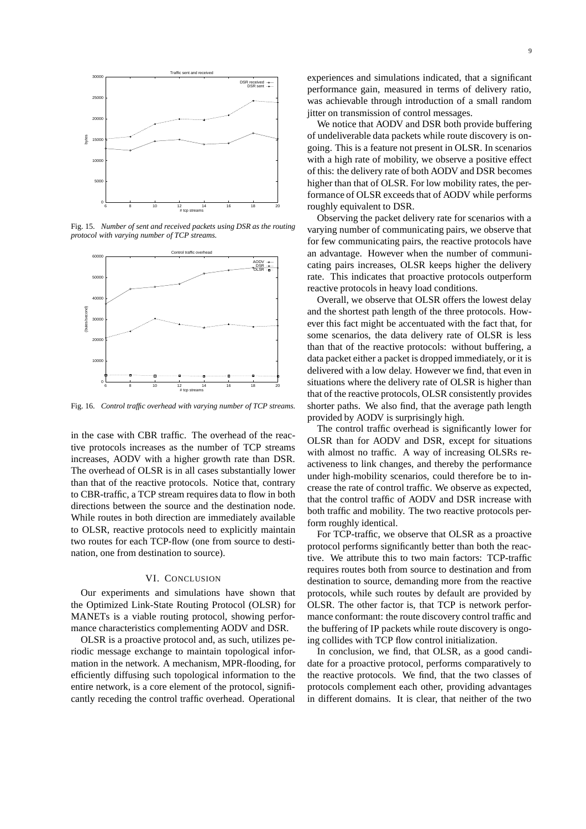

Fig. 15. *Number of sent and received packets using DSR as the routing protocol with varying number of TCP streams.*



Fig. 16. *Control traffic overhead with varying number of TCP streams.*

in the case with CBR traffic. The overhead of the reactive protocols increases as the number of TCP streams increases, AODV with a higher growth rate than DSR. The overhead of OLSR is in all cases substantially lower than that of the reactive protocols. Notice that, contrary to CBR-traffic, a TCP stream requires data to flow in both directions between the source and the destination node. While routes in both direction are immediately available to OLSR, reactive protocols need to explicitly maintain two routes for each TCP-flow (one from source to destination, one from destination to source).

#### VI. CONCLUSION

Our experiments and simulations have shown that the Optimized Link-State Routing Protocol (OLSR) for MANETs is a viable routing protocol, showing performance characteristics complementing AODV and DSR.

OLSR is a proactive protocol and, as such, utilizes periodic message exchange to maintain topological information in the network. A mechanism, MPR-flooding, for efficiently diffusing such topological information to the entire network, is a core element of the protocol, significantly receding the control traffic overhead. Operational

experiences and simulations indicated, that a significant performance gain, measured in terms of delivery ratio, was achievable through introduction of a small random jitter on transmission of control messages.

We notice that AODV and DSR both provide buffering of undeliverable data packets while route discovery is ongoing. This is a feature not present in OLSR. In scenarios with a high rate of mobility, we observe a positive effect of this: the delivery rate of both AODV and DSR becomes higher than that of OLSR. For low mobility rates, the performance of OLSR exceeds that of AODV while performs roughly equivalent to DSR.

Observing the packet delivery rate for scenarios with a varying number of communicating pairs, we observe that for few communicating pairs, the reactive protocols have an advantage. However when the number of communicating pairs increases, OLSR keeps higher the delivery rate. This indicates that proactive protocols outperform reactive protocols in heavy load conditions.

Overall, we observe that OLSR offers the lowest delay and the shortest path length of the three protocols. However this fact might be accentuated with the fact that, for some scenarios, the data delivery rate of OLSR is less than that of the reactive protocols: without buffering, a data packet either a packet is dropped immediately, or it is delivered with a low delay. However we find, that even in situations where the delivery rate of OLSR is higher than that of the reactive protocols, OLSR consistently provides shorter paths. We also find, that the average path length provided by AODV is surprisingly high.

The control traffic overhead is significantly lower for OLSR than for AODV and DSR, except for situations with almost no traffic. A way of increasing OLSRs reactiveness to link changes, and thereby the performance under high-mobility scenarios, could therefore be to increase the rate of control traffic. We observe as expected, that the control traffic of AODV and DSR increase with both traffic and mobility. The two reactive protocols perform roughly identical.

For TCP-traffic, we observe that OLSR as a proactive protocol performs significantly better than both the reactive. We attribute this to two main factors: TCP-traffic requires routes both from source to destination and from destination to source, demanding more from the reactive protocols, while such routes by default are provided by OLSR. The other factor is, that TCP is network performance conformant: the route discovery control traffic and the buffering of IP packets while route discovery is ongoing collides with TCP flow control initialization.

In conclusion, we find, that OLSR, as a good candidate for a proactive protocol, performs comparatively to the reactive protocols. We find, that the two classes of protocols complement each other, providing advantages in different domains. It is clear, that neither of the two